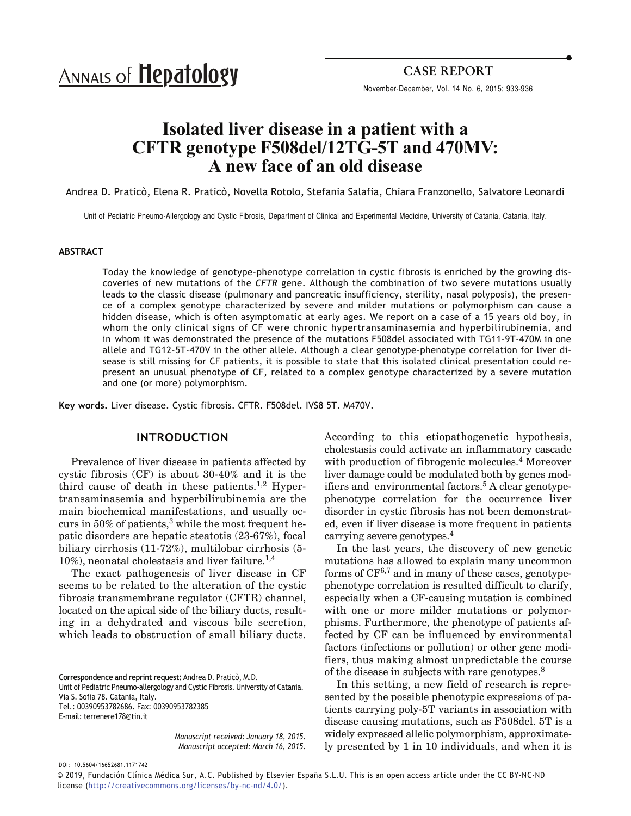# ANNALS of **Hepatology**

November-December, Vol. 14 No. 6, 2015: 933-936 CASE REPORT

**933**

# **Isolated liver disease in a patient with a CFTR genotype F508del/12TG-5T and 470MV: A new face of an old disease**

Andrea D. Praticò, Elena R. Praticò, Novella Rotolo, Stefania Salafia, Chiara Franzonello, Salvatore Leonardi

Unit of Pediatric Pneumo-Allergology and Cystic Fibrosis, Department of Clinical and Experimental Medicine, University of Catania, Catania, Italy.

#### **ABSTRACT**

Today the knowledge of genotype-phenotype correlation in cystic fibrosis is enriched by the growing discoveries of new mutations of the *CFTR* gene. Although the combination of two severe mutations usually leads to the classic disease (pulmonary and pancreatic insufficiency, sterility, nasal polyposis), the presence of a complex genotype characterized by severe and milder mutations or polymorphism can cause a hidden disease, which is often asymptomatic at early ages. We report on a case of a 15 years old boy, in whom the only clinical signs of CF were chronic hypertransaminasemia and hyperbilirubinemia, and in whom it was demonstrated the presence of the mutations F508del associated with TG11-9T-470M in one allele and TG12-5T-470V in the other allele. Although a clear genotype-phenotype correlation for liver disease is still missing for CF patients, it is possible to state that this isolated clinical presentation could represent an unusual phenotype of CF, related to a complex genotype characterized by a severe mutation and one (or more) polymorphism.

**Key words.** Liver disease. Cystic fibrosis. CFTR. F508del. IVS8 5T. M470V.

#### **INTRODUCTION**

Prevalence of liver disease in patients affected by cystic fibrosis (CF) is about 30-40% and it is the third cause of death in these patients.<sup>1,2</sup> Hypertransaminasemia and hyperbilirubinemia are the main biochemical manifestations, and usually occurs in  $50\%$  of patients, $3$  while the most frequent hepatic disorders are hepatic steatotis (23-67%), focal biliary cirrhosis (11-72%), multilobar cirrhosis (5-  $10\%)$ , neonatal cholestasis and liver failure.<sup>1,4</sup>

The exact pathogenesis of liver disease in CF seems to be related to the alteration of the cystic fibrosis transmembrane regulator (CFTR) channel, located on the apical side of the biliary ducts, resulting in a dehydrated and viscous bile secretion, which leads to obstruction of small biliary ducts.

**Correspondence and reprint request:** Andrea D. Praticò, M.D. Unit of Pediatric Pneumo-allergology and Cystic Fibrosis. University of Catania. Via S. Sofia 78. Catania, Italy. Tel.: 00390953782686. Fax: 00390953782385 E-mail: terrenere178@tin.it

> *Manuscript received: January 18, 2015. Manuscript accepted: March 16, 2015.*

According to this etiopathogenetic hypothesis, cholestasis could activate an inflammatory cascade with production of fibrogenic molecules.<sup>4</sup> Moreover liver damage could be modulated both by genes modifiers and environmental factors.<sup>5</sup> A clear genotypephenotype correlation for the occurrence liver disorder in cystic fibrosis has not been demonstrated, even if liver disease is more frequent in patients carrying severe genotypes.4

In the last years, the discovery of new genetic mutations has allowed to explain many uncommon forms of CF6,7 and in many of these cases, genotypephenotype correlation is resulted difficult to clarify, especially when a CF-causing mutation is combined with one or more milder mutations or polymorphisms. Furthermore, the phenotype of patients affected by CF can be influenced by environmental factors (infections or pollution) or other gene modifiers, thus making almost unpredictable the course of the disease in subjects with rare genotypes.8

In this setting, a new field of research is represented by the possible phenotypic expressions of patients carrying poly-5T variants in association with disease causing mutations, such as F508del. 5T is a widely expressed allelic polymorphism, approximately presented by 1 in 10 individuals, and when it is

DOI: 10.5604/16652681.1171742

© 2019, Fundación Clínica Médica Sur, A.C. Published by Elsevier España S.L.U. This is an open access article under the CC BY-NC-ND license (http://creativecommons.org/licenses/by-nc-nd/4.0/).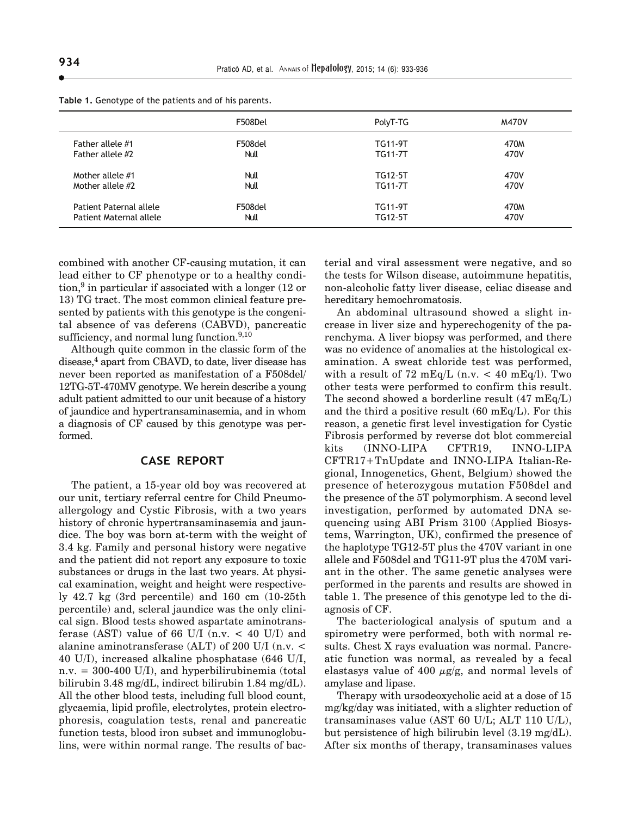|                         | F508Del     | PolyT-TG       | <b>M470V</b> |
|-------------------------|-------------|----------------|--------------|
| Father allele #1        | F508del     | TG11-9T        | 470M         |
| Father allele #2        | <b>Null</b> | <b>TG11-7T</b> | 470V         |
| Mother allele #1        | <b>Null</b> | <b>TG12-5T</b> | 470V         |
| Mother allele #2        | <b>Null</b> | <b>TG11-7T</b> | 470V         |
| Patient Paternal allele | F508del     | <b>TG11-9T</b> | 470M         |
| Patient Maternal allele | <b>Null</b> | <b>TG12-5T</b> | 470V         |

**Table 1.** Genotype of the patients and of his parents.

combined with another CF-causing mutation, it can lead either to CF phenotype or to a healthy condition,<sup>9</sup> in particular if associated with a longer  $(12 \text{ or }$ 13) TG tract. The most common clinical feature presented by patients with this genotype is the congenital absence of vas deferens (CABVD), pancreatic sufficiency, and normal lung function.<sup>9,10</sup>

Although quite common in the classic form of the disease,<sup>4</sup> apart from CBAVD, to date, liver disease has never been reported as manifestation of a F508del/ 12TG-5T-470MV genotype. We herein describe a young adult patient admitted to our unit because of a history of jaundice and hypertransaminasemia, and in whom a diagnosis of CF caused by this genotype was performed.

#### **CASE REPORT**

The patient, a 15-year old boy was recovered at our unit, tertiary referral centre for Child Pneumoallergology and Cystic Fibrosis, with a two years history of chronic hypertransaminasemia and jaundice. The boy was born at-term with the weight of 3.4 kg. Family and personal history were negative and the patient did not report any exposure to toxic substances or drugs in the last two years. At physical examination, weight and height were respectively 42.7 kg (3rd percentile) and 160 cm (10-25th percentile) and, scleral jaundice was the only clinical sign. Blood tests showed aspartate aminotransferase (AST) value of 66 U/I (n.v.  $\lt$  40 U/I) and alanine aminotransferase (ALT) of 200 U/I (n.v. < 40 U/I), increased alkaline phosphatase (646 U/I,  $n.v. = 300-400$  U/I), and hyperbilirubinemia (total bilirubin 3.48 mg/dL, indirect bilirubin 1.84 mg/dL). All the other blood tests, including full blood count, glycaemia, lipid profile, electrolytes, protein electrophoresis, coagulation tests, renal and pancreatic function tests, blood iron subset and immunoglobulins, were within normal range. The results of bacterial and viral assessment were negative, and so the tests for Wilson disease, autoimmune hepatitis, non-alcoholic fatty liver disease, celiac disease and hereditary hemochromatosis.

An abdominal ultrasound showed a slight increase in liver size and hyperechogenity of the parenchyma. A liver biopsy was performed, and there was no evidence of anomalies at the histological examination. A sweat chloride test was performed, with a result of 72 mEq/L (n.v.  $<$  40 mEq/l). Two other tests were performed to confirm this result. The second showed a borderline result  $(47 \text{ mEq/L})$ and the third a positive result  $(60 \text{ mEq/L})$ . For this reason, a genetic first level investigation for Cystic Fibrosis performed by reverse dot blot commercial kits (INNO-LIPA CFTR19, INNO-LIPA CFTR17+TnUpdate and INNO-LIPA Italian-Regional, Innogenetics, Ghent, Belgium) showed the presence of heterozygous mutation F508del and the presence of the 5T polymorphism. A second level investigation, performed by automated DNA sequencing using ABI Prism 3100 (Applied Biosystems, Warrington, UK), confirmed the presence of the haplotype TG12-5T plus the 470V variant in one allele and F508del and TG11-9T plus the 470M variant in the other. The same genetic analyses were performed in the parents and results are showed in table 1. The presence of this genotype led to the diagnosis of CF.

The bacteriological analysis of sputum and a spirometry were performed, both with normal results. Chest X rays evaluation was normal. Pancreatic function was normal, as revealed by a fecal elastasys value of 400  $\mu$ g/g, and normal levels of amylase and lipase.

Therapy with ursodeoxycholic acid at a dose of 15 mg/kg/day was initiated, with a slighter reduction of transaminases value (AST 60 U/L; ALT 110 U/L), but persistence of high bilirubin level (3.19 mg/dL). After six months of therapy, transaminases values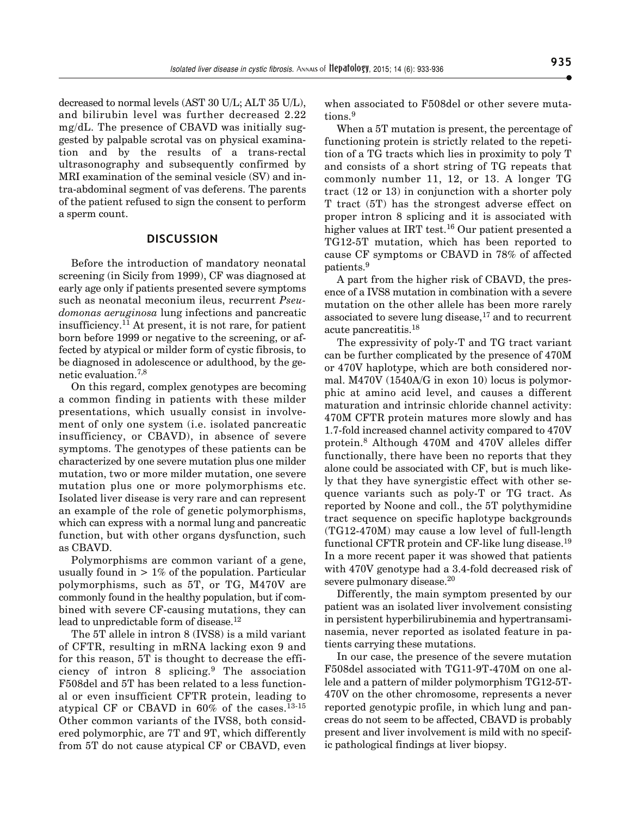decreased to normal levels (AST 30 U/L; ALT 35 U/L), and bilirubin level was further decreased 2.22 mg/dL. The presence of CBAVD was initially suggested by palpable scrotal vas on physical examination and by the results of a trans-rectal ultrasonography and subsequently confirmed by MRI examination of the seminal vesicle (SV) and intra-abdominal segment of vas deferens. The parents of the patient refused to sign the consent to perform a sperm count.

#### **DISCUSSION**

Before the introduction of mandatory neonatal screening (in Sicily from 1999), CF was diagnosed at early age only if patients presented severe symptoms such as neonatal meconium ileus, recurrent *Pseudomonas aeruginosa* lung infections and pancreatic insufficiency.<sup>11</sup> At present, it is not rare, for patient born before 1999 or negative to the screening, or affected by atypical or milder form of cystic fibrosis, to be diagnosed in adolescence or adulthood, by the genetic evaluation.7,8

On this regard, complex genotypes are becoming a common finding in patients with these milder presentations, which usually consist in involvement of only one system (i.e. isolated pancreatic insufficiency, or CBAVD), in absence of severe symptoms. The genotypes of these patients can be characterized by one severe mutation plus one milder mutation, two or more milder mutation, one severe mutation plus one or more polymorphisms etc. Isolated liver disease is very rare and can represent an example of the role of genetic polymorphisms, which can express with a normal lung and pancreatic function, but with other organs dysfunction, such as CBAVD.

Polymorphisms are common variant of a gene, usually found in  $> 1\%$  of the population. Particular polymorphisms, such as 5T, or TG, M470V are commonly found in the healthy population, but if combined with severe CF-causing mutations, they can lead to unpredictable form of disease.<sup>12</sup>

The 5T allele in intron 8 (IVS8) is a mild variant of CFTR, resulting in mRNA lacking exon 9 and for this reason, 5T is thought to decrease the efficiency of intron 8 splicing. The association F508del and 5T has been related to a less functional or even insufficient CFTR protein, leading to atypical CF or CBAVD in 60% of the cases.13-15 Other common variants of the IVS8, both considered polymorphic, are 7T and 9T, which differently from 5T do not cause atypical CF or CBAVD, even when associated to F508del or other severe mutations.9

When a 5T mutation is present, the percentage of functioning protein is strictly related to the repetition of a TG tracts which lies in proximity to poly T and consists of a short string of TG repeats that commonly number 11, 12, or 13. A longer TG tract (12 or 13) in conjunction with a shorter poly T tract (5T) has the strongest adverse effect on proper intron 8 splicing and it is associated with higher values at IRT test.<sup>16</sup> Our patient presented a TG12-5T mutation, which has been reported to cause CF symptoms or CBAVD in 78% of affected patients.9

A part from the higher risk of CBAVD, the presence of a IVS8 mutation in combination with a severe mutation on the other allele has been more rarely associated to severe lung disease,<sup>17</sup> and to recurrent acute pancreatitis.18

The expressivity of poly-T and TG tract variant can be further complicated by the presence of 470M or 470V haplotype, which are both considered normal. M470V (1540A/G in exon 10) locus is polymorphic at amino acid level, and causes a different maturation and intrinsic chloride channel activity: 470M CFTR protein matures more slowly and has 1.7-fold increased channel activity compared to 470V protein.8 Although 470M and 470V alleles differ functionally, there have been no reports that they alone could be associated with CF, but is much likely that they have synergistic effect with other sequence variants such as poly-T or TG tract. As reported by Noone and coll., the 5T polythymidine tract sequence on specific haplotype backgrounds (TG12-470M) may cause a low level of full-length functional CFTR protein and CF-like lung disease.19 In a more recent paper it was showed that patients with 470V genotype had a 3.4-fold decreased risk of severe pulmonary disease.<sup>20</sup>

Differently, the main symptom presented by our patient was an isolated liver involvement consisting in persistent hyperbilirubinemia and hypertransaminasemia, never reported as isolated feature in patients carrying these mutations.

In our case, the presence of the severe mutation F508del associated with TG11-9T-470M on one allele and a pattern of milder polymorphism TG12-5T-470V on the other chromosome, represents a never reported genotypic profile, in which lung and pancreas do not seem to be affected, CBAVD is probably present and liver involvement is mild with no specific pathological findings at liver biopsy.